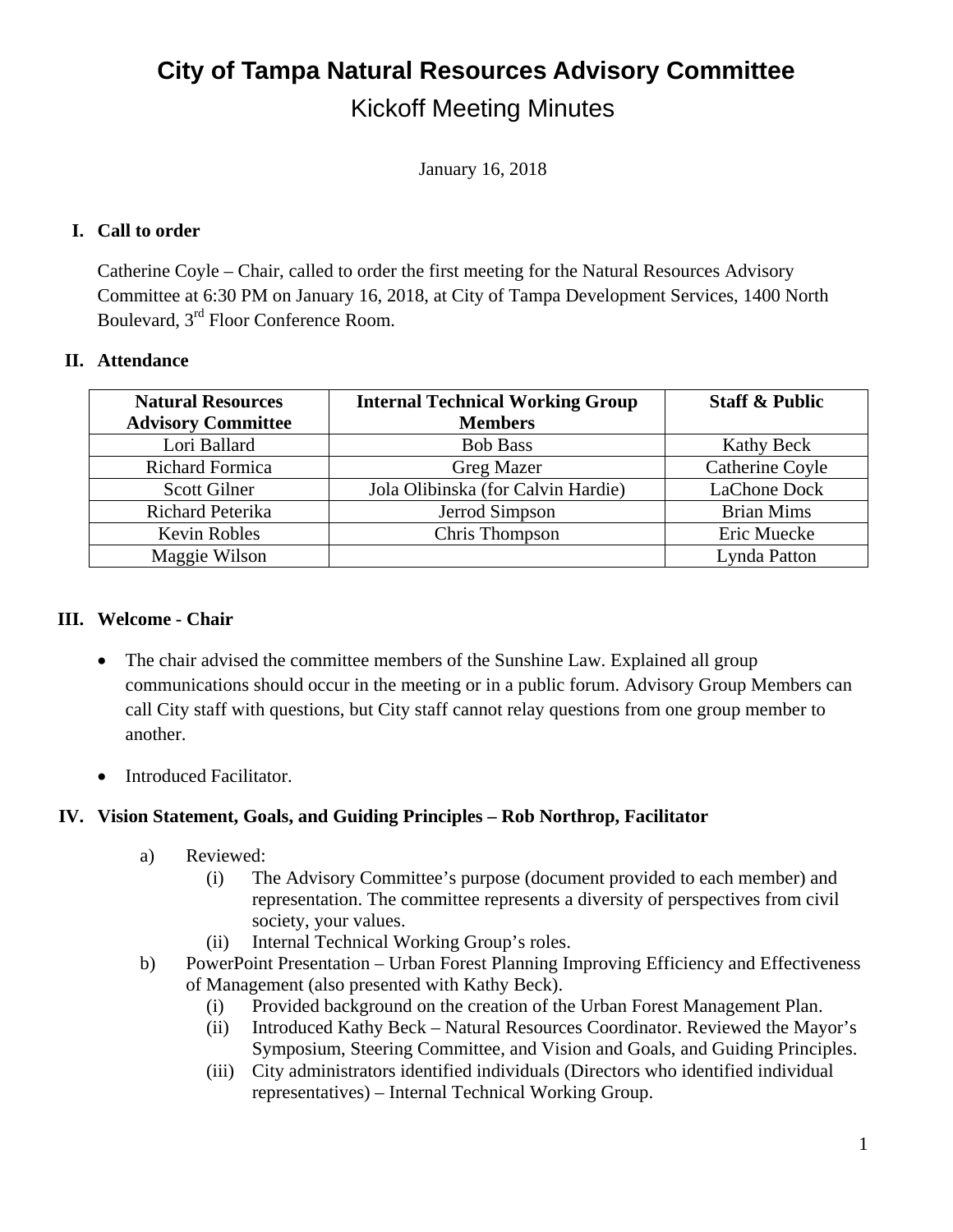## **City of Tampa Natural Resources Advisory Committee**  Kickoff Meeting Minutes

January 16, 2018

## **I. Call to order**

Catherine Coyle – Chair, called to order the first meeting for the Natural Resources Advisory Committee at 6:30 PM on January 16, 2018, at City of Tampa Development Services, 1400 North Boulevard, 3rd Floor Conference Room.

### **II. Attendance**

| <b>Natural Resources</b>  | <b>Internal Technical Working Group</b> | <b>Staff &amp; Public</b> |
|---------------------------|-----------------------------------------|---------------------------|
| <b>Advisory Committee</b> | <b>Members</b>                          |                           |
| Lori Ballard              | <b>Bob Bass</b>                         | <b>Kathy Beck</b>         |
| <b>Richard Formica</b>    | Greg Mazer                              | Catherine Coyle           |
| <b>Scott Gilner</b>       | Jola Olibinska (for Calvin Hardie)      | LaChone Dock              |
| <b>Richard Peterika</b>   | Jerrod Simpson                          | <b>Brian Mims</b>         |
| <b>Kevin Robles</b>       | Chris Thompson                          | Eric Muecke               |
| Maggie Wilson             |                                         | Lynda Patton              |

### **III. Welcome - Chair**

- The chair advised the committee members of the Sunshine Law. Explained all group communications should occur in the meeting or in a public forum. Advisory Group Members can call City staff with questions, but City staff cannot relay questions from one group member to another.
- Introduced Facilitator.

## **IV. Vision Statement, Goals, and Guiding Principles – Rob Northrop, Facilitator**

- a) Reviewed:
	- (i) The Advisory Committee's purpose (document provided to each member) and representation. The committee represents a diversity of perspectives from civil society, your values.
	- (ii) Internal Technical Working Group's roles.
- b) PowerPoint Presentation Urban Forest Planning Improving Efficiency and Effectiveness of Management (also presented with Kathy Beck).
	- (i) Provided background on the creation of the Urban Forest Management Plan.
	- (ii) Introduced Kathy Beck Natural Resources Coordinator. Reviewed the Mayor's Symposium, Steering Committee, and Vision and Goals, and Guiding Principles.
	- (iii) City administrators identified individuals (Directors who identified individual representatives) – Internal Technical Working Group.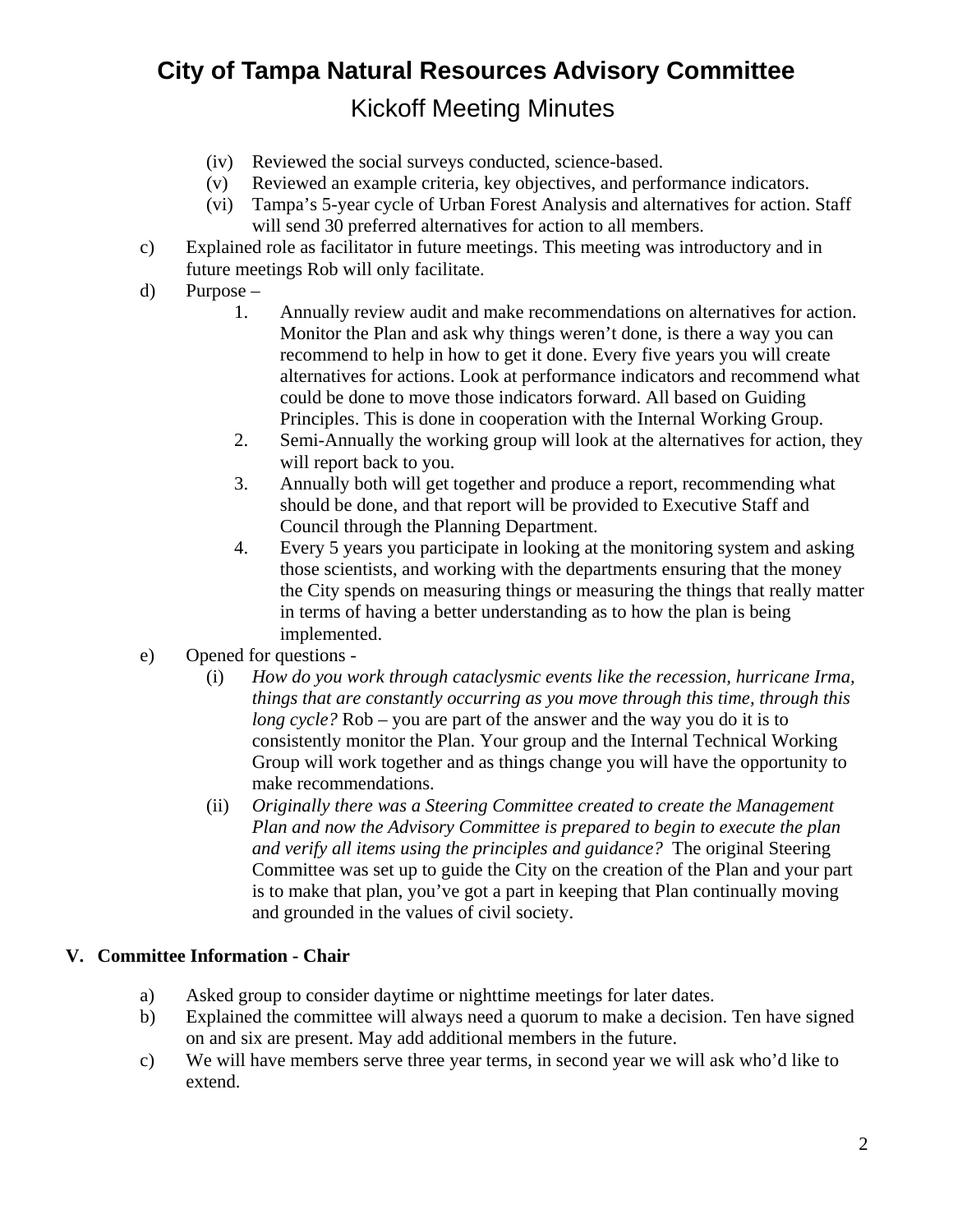# **City of Tampa Natural Resources Advisory Committee**  Kickoff Meeting Minutes

- (iv) Reviewed the social surveys conducted, science-based.
- (v) Reviewed an example criteria, key objectives, and performance indicators.
- (vi) Tampa's 5-year cycle of Urban Forest Analysis and alternatives for action. Staff will send 30 preferred alternatives for action to all members.
- c) Explained role as facilitator in future meetings. This meeting was introductory and in future meetings Rob will only facilitate.
- d) Purpose
	- 1. Annually review audit and make recommendations on alternatives for action. Monitor the Plan and ask why things weren't done, is there a way you can recommend to help in how to get it done. Every five years you will create alternatives for actions. Look at performance indicators and recommend what could be done to move those indicators forward. All based on Guiding Principles. This is done in cooperation with the Internal Working Group.
	- 2. Semi-Annually the working group will look at the alternatives for action, they will report back to you.
	- 3. Annually both will get together and produce a report, recommending what should be done, and that report will be provided to Executive Staff and Council through the Planning Department.
	- 4. Every 5 years you participate in looking at the monitoring system and asking those scientists, and working with the departments ensuring that the money the City spends on measuring things or measuring the things that really matter in terms of having a better understanding as to how the plan is being implemented.
- e) Opened for questions
	- (i) *How do you work through cataclysmic events like the recession, hurricane Irma, things that are constantly occurring as you move through this time, through this long cycle?* Rob – you are part of the answer and the way you do it is to consistently monitor the Plan. Your group and the Internal Technical Working Group will work together and as things change you will have the opportunity to make recommendations.
	- (ii) *Originally there was a Steering Committee created to create the Management Plan and now the Advisory Committee is prepared to begin to execute the plan and verify all items using the principles and guidance?* The original Steering Committee was set up to guide the City on the creation of the Plan and your part is to make that plan, you've got a part in keeping that Plan continually moving and grounded in the values of civil society.

### **V. Committee Information - Chair**

- a) Asked group to consider daytime or nighttime meetings for later dates.
- b) Explained the committee will always need a quorum to make a decision. Ten have signed on and six are present. May add additional members in the future.
- c) We will have members serve three year terms, in second year we will ask who'd like to extend.